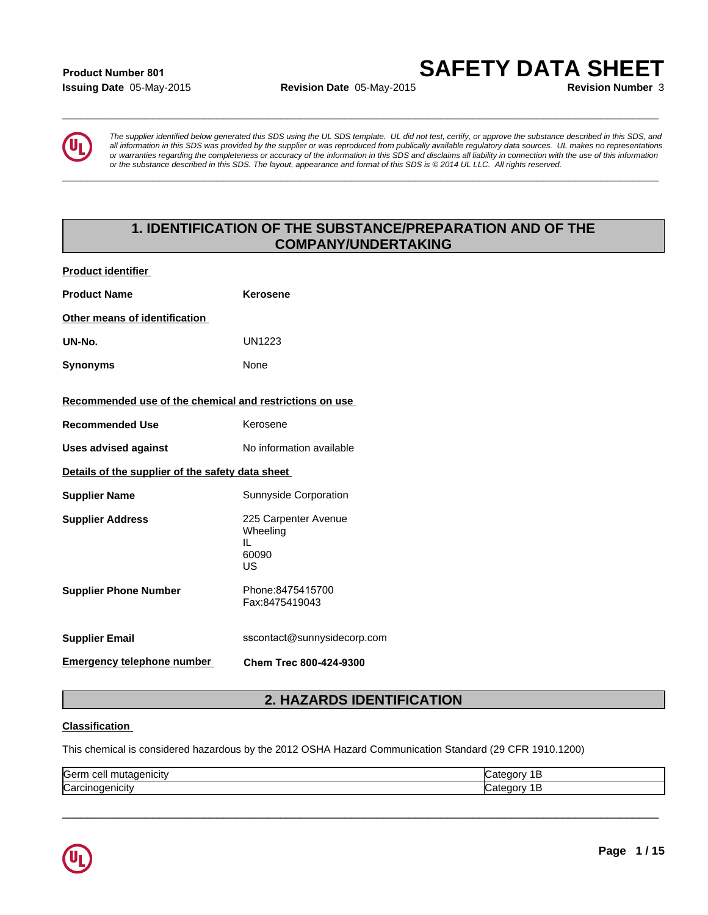# **Issuing Date** 05-May-2015 **Revision Date** 05-May-2015 **Revision Number** 3 **Product Number 801**

**SAFETY DATA SHEET**



*The supplier identified below generated this SDS using the UL SDS template. UL did not test, certify, or approve the substance described in this SDS, and all information in this SDS was provided by the supplier or was reproduced from publically available regulatory data sources. UL makes no representations or warranties regarding the completeness or accuracy of the information in this SDS and disclaims all liability in connection with the use of this information or the substance described in this SDS. The layout, appearance and format of this SDS is © 2014 UL LLC. All rights reserved.* **1. IDENTIFICATION OF THE SUBSTANCE/PREPARATION AND OF THE**<br> **1. ISLNARY-2015**<br> **1. ISLNARY-2015**<br> **1. IDENTIFICATION OF THE SUBSTANCE/PREPARATION AND OF THE**<br> **1. IDENTIFICATION OF THE SUBSTANCE/PREPARATION AND OF THE**<br>

**\_\_\_\_\_\_\_\_\_\_\_\_\_\_\_\_\_\_\_\_\_\_\_\_\_\_\_\_\_\_\_\_\_\_\_\_\_\_\_\_\_\_\_\_\_\_\_\_\_\_\_\_\_\_\_\_\_\_\_\_\_\_\_\_\_\_\_\_\_\_\_\_\_\_\_\_\_\_\_\_\_\_\_\_\_\_\_\_\_\_\_\_\_**

**\_\_\_\_\_\_\_\_\_\_\_\_\_\_\_\_\_\_\_\_\_\_\_\_\_\_\_\_\_\_\_\_\_\_\_\_\_\_\_\_\_\_\_\_\_\_\_\_\_\_\_\_\_\_\_\_\_\_\_\_\_\_\_\_\_\_\_\_\_\_\_\_\_\_\_\_\_\_\_\_\_\_\_\_\_\_\_\_\_\_\_\_\_**

# **COMPANY/UNDERTAKING**

| <b>Product identifier</b>                               |                                                                                                         |  |  |  |
|---------------------------------------------------------|---------------------------------------------------------------------------------------------------------|--|--|--|
| <b>Product Name</b>                                     | <b>Kerosene</b>                                                                                         |  |  |  |
| Other means of identification                           |                                                                                                         |  |  |  |
| UN-No.                                                  | <b>UN1223</b>                                                                                           |  |  |  |
| <b>Synonyms</b>                                         | None                                                                                                    |  |  |  |
| Recommended use of the chemical and restrictions on use |                                                                                                         |  |  |  |
| <b>Recommended Use</b>                                  | Kerosene                                                                                                |  |  |  |
| <b>Uses advised against</b>                             | No information available                                                                                |  |  |  |
| Details of the supplier of the safety data sheet        |                                                                                                         |  |  |  |
| <b>Supplier Name</b>                                    | Sunnyside Corporation                                                                                   |  |  |  |
| <b>Supplier Address</b>                                 | 225 Carpenter Avenue<br>Wheeling<br>IL<br>60090<br>US                                                   |  |  |  |
| <b>Supplier Phone Number</b>                            | Phone:8475415700<br>Fax:8475419043                                                                      |  |  |  |
| <b>Supplier Email</b>                                   | sscontact@sunnysidecorp.com                                                                             |  |  |  |
| <b>Emergency telephone number</b>                       | Chem Trec 800-424-9300                                                                                  |  |  |  |
|                                                         | <b>2. HAZARDS IDENTIFICATION</b>                                                                        |  |  |  |
| <b>Classification</b>                                   |                                                                                                         |  |  |  |
|                                                         | This chemical is considered hazardous by the 2012 OSHA Hazard Communication Standard (29 CFR 1910.1200) |  |  |  |

# **Classification**

| <b>IGerm</b><br><br>cell<br>$\sim$<br>,,,,,,,,,,<br>ut c<br>' HGR | ш  |
|-------------------------------------------------------------------|----|
| ∽<br>-------<br>нст<br>Naiti                                      | ъ. |

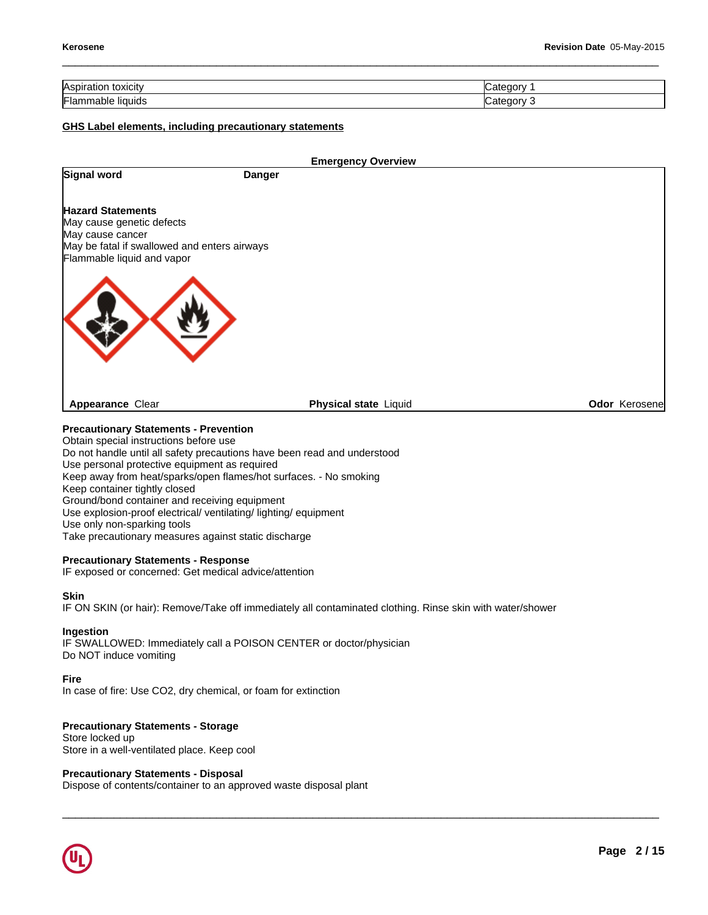| <b>Aspiration</b><br>toxicity | atenory<br>. . |
|-------------------------------|----------------|
| Flamm<br>liquids<br>napie     | tegory         |

 $\Box \rightarrow \Box \rightarrow \Box$ 

# **GHS Label elements, including precautionary statements**

|                                                                                                                                                         |               | <b>Emergency Overview</b>    |               |
|---------------------------------------------------------------------------------------------------------------------------------------------------------|---------------|------------------------------|---------------|
| Signal word                                                                                                                                             | <b>Danger</b> |                              |               |
| <b>Hazard Statements</b><br>May cause genetic defects<br>May cause cancer<br>May be fatal if swallowed and enters airways<br>Flammable liquid and vapor |               |                              |               |
|                                                                                                                                                         |               |                              |               |
| <b>Appearance Clear</b>                                                                                                                                 |               | <b>Physical state Liquid</b> | Odor Kerosene |
| <b>Precautionary Statements - Prevention</b><br>Obtain special instructions before use                                                                  |               |                              |               |
| Do not handle until all safety precautions have been read and understood                                                                                |               |                              |               |
| Use personal protective equipment as required                                                                                                           |               |                              |               |

Keep away from heat/sparks/open flames/hot surfaces. - No smoking

Keep container tightly closed

Ground/bond container and receiving equipment

Use explosion-proof electrical/ ventilating/ lighting/ equipment

Use only non-sparking tools

Take precautionary measures against static discharge

# **Precautionary Statements - Response**

IF exposed or concerned: Get medical advice/attention

# **Skin**

IF ON SKIN (or hair): Remove/Take off immediately all contaminated clothing. Rinse skin with water/shower

# **Ingestion**

IF SWALLOWED: Immediately call a POISON CENTER or doctor/physician Do NOT induce vomiting

# **Fire**

In case of fire: Use CO2, dry chemical, or foam for extinction

# **Precautionary Statements - Storage**

Store locked up Store in a well-ventilated place. Keep cool

# **Precautionary Statements - Disposal**

Dispose of contents/container to an approved waste disposal plant

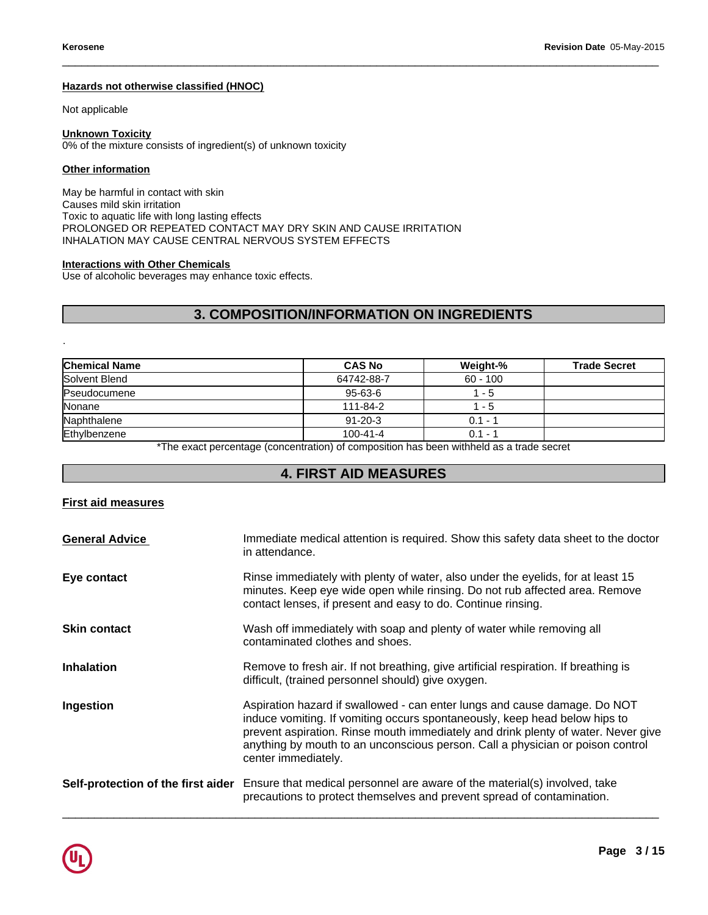# **Hazards not otherwise classified (HNOC)**

Not applicable

# **Unknown Toxicity**

0% of the mixture consists of ingredient(s) of unknown toxicity

# **Other information**

May be harmful in contact with skin Causes mild skin irritation Toxic to aquatic life with long lasting effects PROLONGED OR REPEATED CONTACT MAY DRY SKIN AND CAUSE IRRITATION INHALATION MAY CAUSE CENTRAL NERVOUS SYSTEM EFFECTS **3. COMPOSITION/INFORMATION ON INGREDIENTS**<br> **3. COMPOSITION/INFORMATION ON INGREDIENTS**<br> **3. COMPOSITION/INFORMATION ON INGREDIENTS**<br> **3. COMPOSITION/INFORMATION ON INGREDIENTS** 

# **Interactions with Other Chemicals**

 $\_$  ,  $\_$  ,  $\_$  ,  $\_$  ,  $\_$  ,  $\_$  ,  $\_$  ,  $\_$  ,  $\_$  ,  $\_$  ,  $\_$  ,  $\_$  ,  $\_$  ,  $\_$  ,  $\_$  ,  $\_$  ,  $\_$  ,  $\_$  ,  $\_$  ,  $\_$  ,  $\_$  ,  $\_$  ,  $\_$  ,  $\_$  ,  $\_$  ,  $\_$  ,  $\_$  ,  $\_$  ,  $\_$  ,  $\_$  ,  $\_$  ,  $\_$  ,  $\_$  ,  $\_$  ,  $\_$  ,  $\_$  ,  $\_$  ,

|                      | <b>3. COMPOSITION/INFORMATION ON INGREDIENTS</b>                                         |            |                     |
|----------------------|------------------------------------------------------------------------------------------|------------|---------------------|
| ٠                    |                                                                                          |            |                     |
| <b>Chemical Name</b> | <b>CAS No</b>                                                                            | Weight-%   | <b>Trade Secret</b> |
| Solvent Blend        | 64742-88-7                                                                               | $60 - 100$ |                     |
| Pseudocumene         | 95-63-6                                                                                  | $1 - 5$    |                     |
| Nonane               | 111-84-2                                                                                 | $1 - 5$    |                     |
| Naphthalene          | $91 - 20 - 3$                                                                            | $0.1 - 1$  |                     |
| Ethylbenzene         | $100 - 41 - 4$                                                                           | $0.1 - 1$  |                     |
|                      | *The exact percentage (concentration) of composition has been withheld as a trade secret |            |                     |
|                      | <b>4. FIRST AID MEASURES</b>                                                             |            |                     |

# **First aid measures**

| <b>General Advice</b> | Immediate medical attention is required. Show this safety data sheet to the doctor<br>in attendance.                                                                                                                                                                                                                                                  |
|-----------------------|-------------------------------------------------------------------------------------------------------------------------------------------------------------------------------------------------------------------------------------------------------------------------------------------------------------------------------------------------------|
| Eye contact           | Rinse immediately with plenty of water, also under the eyelids, for at least 15<br>minutes. Keep eye wide open while rinsing. Do not rub affected area. Remove<br>contact lenses, if present and easy to do. Continue rinsing.                                                                                                                        |
| <b>Skin contact</b>   | Wash off immediately with soap and plenty of water while removing all<br>contaminated clothes and shoes.                                                                                                                                                                                                                                              |
| <b>Inhalation</b>     | Remove to fresh air. If not breathing, give artificial respiration. If breathing is<br>difficult, (trained personnel should) give oxygen.                                                                                                                                                                                                             |
| Ingestion             | Aspiration hazard if swallowed - can enter lungs and cause damage. Do NOT<br>induce vomiting. If vomiting occurs spontaneously, keep head below hips to<br>prevent aspiration. Rinse mouth immediately and drink plenty of water. Never give<br>anything by mouth to an unconscious person. Call a physician or poison control<br>center immediately. |
|                       | Self-protection of the first aider Ensure that medical personnel are aware of the material(s) involved, take<br>precautions to protect themselves and prevent spread of contamination.                                                                                                                                                                |
|                       |                                                                                                                                                                                                                                                                                                                                                       |

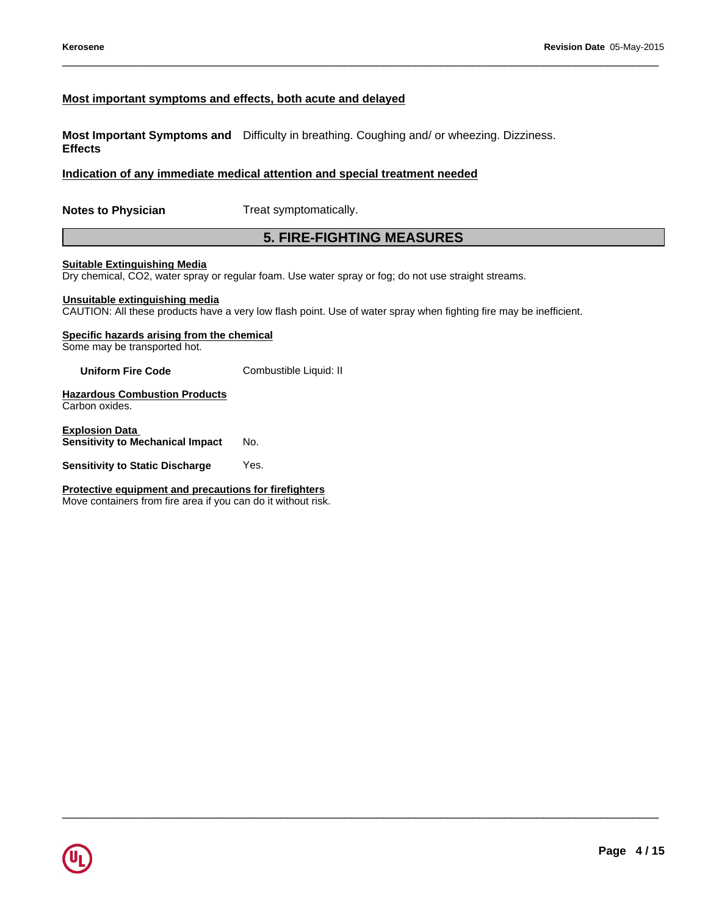# **Most important symptoms and effects, both acute and delayed**

**Most Important Symptoms and** Difficulty in breathing. Coughing and/ or wheezing. Dizziness. **Effects** Revision Date 05-May<br> **5. both acute and delayed**<br>
culty in breathing. Coughing and/ or wheezing. Dizziness.<br> **attention and special treatment needed**<br> **5. FIRE-FIGHTING MEASURES**<br>
pam. Use water spray or fog; do not use s

# **Indication of any immediate medical attention and special treatment needed**

**Notes to Physician** Treat symptomatically.

 $\_$  ,  $\_$  ,  $\_$  ,  $\_$  ,  $\_$  ,  $\_$  ,  $\_$  ,  $\_$  ,  $\_$  ,  $\_$  ,  $\_$  ,  $\_$  ,  $\_$  ,  $\_$  ,  $\_$  ,  $\_$  ,  $\_$  ,  $\_$  ,  $\_$  ,  $\_$  ,  $\_$  ,  $\_$  ,  $\_$  ,  $\_$  ,  $\_$  ,  $\_$  ,  $\_$  ,  $\_$  ,  $\_$  ,  $\_$  ,  $\_$  ,  $\_$  ,  $\_$  ,  $\_$  ,  $\_$  ,  $\_$  ,  $\_$  ,

 $\_$  ,  $\_$  ,  $\_$  ,  $\_$  ,  $\_$  ,  $\_$  ,  $\_$  ,  $\_$  ,  $\_$  ,  $\_$  ,  $\_$  ,  $\_$  ,  $\_$  ,  $\_$  ,  $\_$  ,  $\_$  ,  $\_$  ,  $\_$  ,  $\_$  ,  $\_$  ,  $\_$  ,  $\_$  ,  $\_$  ,  $\_$  ,  $\_$  ,  $\_$  ,  $\_$  ,  $\_$  ,  $\_$  ,  $\_$  ,  $\_$  ,  $\_$  ,  $\_$  ,  $\_$  ,  $\_$  ,  $\_$  ,  $\_$  ,

## **Suitable Extinguishing Media**

Dry chemical, CO2, water spray or regular foam. Use water spray or fog; do not use straight streams.

# **Unsuitable extinguishing media**

CAUTION: All these products have a very low flash point. Use of water spray when fighting fire may be inefficient.

# **Specific hazards arising from the chemical**

Some may be transported hot.

**Uniform Fire Code** Combustible Liquid: II

**Hazardous Combustion Products** Carbon oxides.

**Explosion Data Sensitivity to Mechanical Impact No.** 

**Sensitivity to Static Discharge Yes.** 

**Protective equipment and precautions for firefighters** Move containers from fire area if you can do it without risk.

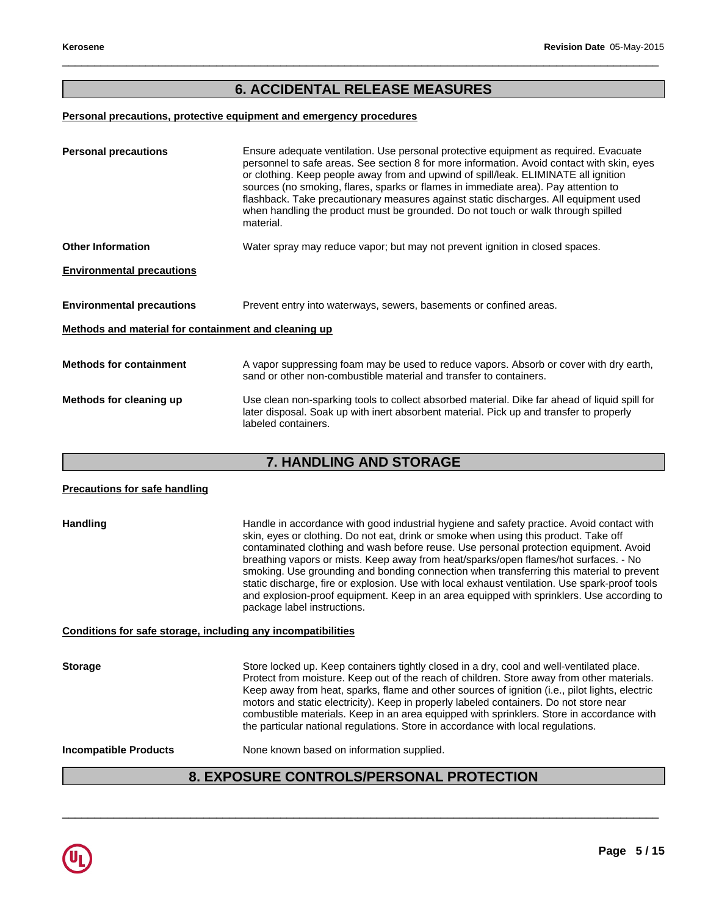# Revision Date 05-May-2015<br>**6. ACCIDENTAL RELEASE MEASURES**<br>Analysian and emergency procedures

 $\_$  ,  $\_$  ,  $\_$  ,  $\_$  ,  $\_$  ,  $\_$  ,  $\_$  ,  $\_$  ,  $\_$  ,  $\_$  ,  $\_$  ,  $\_$  ,  $\_$  ,  $\_$  ,  $\_$  ,  $\_$  ,  $\_$  ,  $\_$  ,  $\_$  ,  $\_$  ,  $\_$  ,  $\_$  ,  $\_$  ,  $\_$  ,  $\_$  ,  $\_$  ,  $\_$  ,  $\_$  ,  $\_$  ,  $\_$  ,  $\_$  ,  $\_$  ,  $\_$  ,  $\_$  ,  $\_$  ,  $\_$  ,  $\_$  ,

# **Personal precautions, protective equipment and emergency procedures**

| <b>Personal precautions</b>                          | Ensure adequate ventilation. Use personal protective equipment as required. Evacuate<br>personnel to safe areas. See section 8 for more information. Avoid contact with skin, eyes<br>or clothing. Keep people away from and upwind of spill/leak. ELIMINATE all ignition<br>sources (no smoking, flares, sparks or flames in immediate area). Pay attention to<br>flashback. Take precautionary measures against static discharges. All equipment used<br>when handling the product must be grounded. Do not touch or walk through spilled<br>material. |  |  |
|------------------------------------------------------|----------------------------------------------------------------------------------------------------------------------------------------------------------------------------------------------------------------------------------------------------------------------------------------------------------------------------------------------------------------------------------------------------------------------------------------------------------------------------------------------------------------------------------------------------------|--|--|
| <b>Other Information</b>                             | Water spray may reduce vapor; but may not prevent ignition in closed spaces.                                                                                                                                                                                                                                                                                                                                                                                                                                                                             |  |  |
| <b>Environmental precautions</b>                     |                                                                                                                                                                                                                                                                                                                                                                                                                                                                                                                                                          |  |  |
| <b>Environmental precautions</b>                     | Prevent entry into waterways, sewers, basements or confined areas.                                                                                                                                                                                                                                                                                                                                                                                                                                                                                       |  |  |
| Methods and material for containment and cleaning up |                                                                                                                                                                                                                                                                                                                                                                                                                                                                                                                                                          |  |  |
| <b>Methods for containment</b>                       | A vapor suppressing foam may be used to reduce vapors. Absorb or cover with dry earth,<br>sand or other non-combustible material and transfer to containers.                                                                                                                                                                                                                                                                                                                                                                                             |  |  |
| Methods for cleaning up                              | Use clean non-sparking tools to collect absorbed material. Dike far ahead of liquid spill for<br>later disposal. Soak up with inert absorbent material. Pick up and transfer to properly<br>labeled containers.                                                                                                                                                                                                                                                                                                                                          |  |  |
|                                                      | <b>7. HANDLING AND STORAGE</b>                                                                                                                                                                                                                                                                                                                                                                                                                                                                                                                           |  |  |
| <b>Precautions for safe handling</b>                 |                                                                                                                                                                                                                                                                                                                                                                                                                                                                                                                                                          |  |  |
|                                                      |                                                                                                                                                                                                                                                                                                                                                                                                                                                                                                                                                          |  |  |

# **Precautions for safe handling**

Handling **Handle in accordance with good industrial hygiene and safety practice. Avoid contact with and safety practice.** skin, eyes or clothing. Do not eat, drink or smoke when using this product. Take off contaminated clothing and wash before reuse. Use personal protection equipment. Avoid breathing vapors or mists. Keep away from heat/sparks/open flames/hot surfaces. - No smoking. Use grounding and bonding connection when transferring this material to prevent static discharge, fire or explosion. Use with local exhaust ventilation. Use spark-proof tools and explosion-proof equipment. Keep in an area equipped with sprinklers. Use according to package label instructions.

# **Conditions for safe storage, including any incompatibilities**

breathing vapors or mists. Keep away from head/sparks/open flames/hot surlaces. - No<br>smoking. Use grounding and bonding connection when transferring this material to prevent<br>static discharge, fire or explosion. Use with lo Storage **Storage** Store locked up. Keep containers tightly closed in a dry, cool and well-ventilated place. Protect from moisture. Keep out of the reach of children. Store away from other materials. Keep away from heat, sparks, flame and other sources of ignition (i.e., pilot lights, electric motors and static electricity). Keep in properly labeled containers. Do not store near combustible materials. Keep in an area equipped with sprinklers. Store in accordance with the particular national regulations. Store in accordance with local regulations. **Incompatible Products** None known based on information supplied.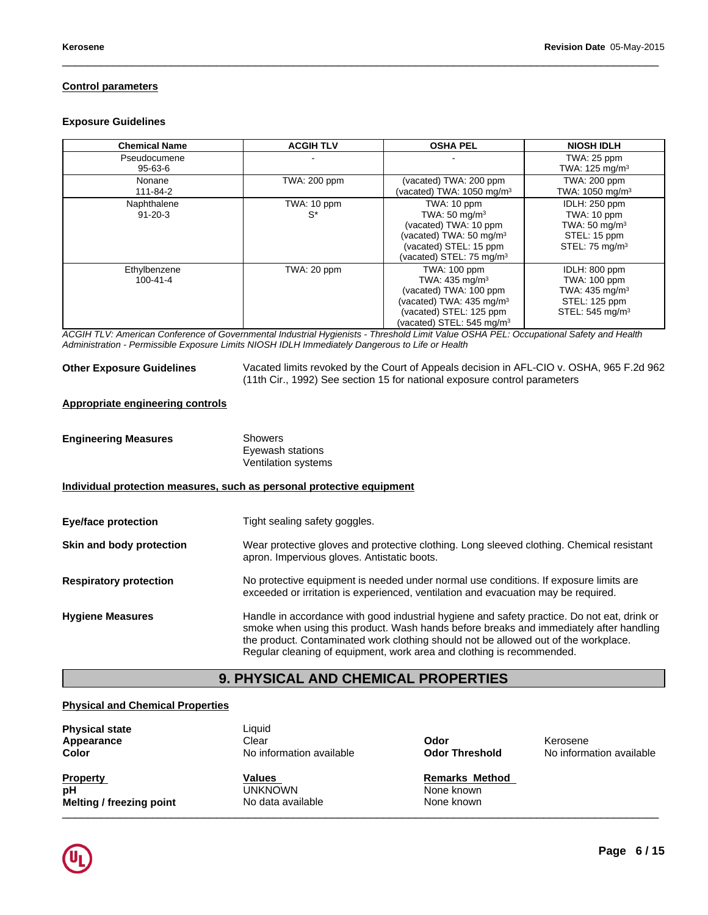# **Control parameters**

# **Exposure Guidelines**

| <b>Chemical Name</b>           | <b>ACGIH TLV</b>     | <b>OSHA PEL</b>                                                                                                                                                                        | <b>NIOSH IDLH</b>                                                                                                  |
|--------------------------------|----------------------|----------------------------------------------------------------------------------------------------------------------------------------------------------------------------------------|--------------------------------------------------------------------------------------------------------------------|
| Pseudocumene<br>95-63-6        |                      |                                                                                                                                                                                        | TWA: 25 ppm<br>TWA: $125 \text{ mg/m}^3$                                                                           |
| Nonane<br>111-84-2             | TWA: 200 ppm         | (vacated) TWA: 200 ppm<br>(vacated) TWA: $1050 \text{ mg/m}^3$                                                                                                                         | <b>TWA: 200 ppm</b><br>TWA: $1050 \text{ mg/m}^3$                                                                  |
| Naphthalene<br>$91 - 20 - 3$   | TWA: 10 ppm<br>$S^*$ | TWA: 10 ppm<br>TWA: $50 \text{ mg/m}^3$<br>(vacated) TWA: 10 ppm<br>(vacated) TWA: 50 mg/m <sup>3</sup><br>(vacated) STEL: 15 ppm<br>(vacated) STEL: 75 mg/m $3$                       | IDLH: 250 ppm<br>TWA: 10 ppm<br>TWA: $50 \text{ mg/m}^3$<br>STEL: 15 ppm<br>STEL: $75 \text{ mg/m}^3$              |
| Ethylbenzene<br>$100 - 41 - 4$ | TWA: 20 ppm          | <b>TWA: 100 ppm</b><br>TWA: $435 \text{ mg/m}^3$<br>(vacated) TWA: 100 ppm<br>(vacated) TWA: 435 mg/m <sup>3</sup><br>(vacated) STEL: 125 ppm<br>(vacated) STEL: 545 mg/m <sup>3</sup> | IDLH: 800 ppm<br><b>TWA: 100 ppm</b><br>TWA: 435 mg/m <sup>3</sup><br>STEL: 125 ppm<br>STEL: 545 mg/m <sup>3</sup> |

 $\_$  ,  $\_$  ,  $\_$  ,  $\_$  ,  $\_$  ,  $\_$  ,  $\_$  ,  $\_$  ,  $\_$  ,  $\_$  ,  $\_$  ,  $\_$  ,  $\_$  ,  $\_$  ,  $\_$  ,  $\_$  ,  $\_$  ,  $\_$  ,  $\_$  ,  $\_$  ,  $\_$  ,  $\_$  ,  $\_$  ,  $\_$  ,  $\_$  ,  $\_$  ,  $\_$  ,  $\_$  ,  $\_$  ,  $\_$  ,  $\_$  ,  $\_$  ,  $\_$  ,  $\_$  ,  $\_$  ,  $\_$  ,  $\_$  ,

*ACGIH TLV: American Conference of Governmental Industrial Hygienists - Threshold Limit Value OSHA PEL: Occupational Safety and Health Administration - Permissible Exposure Limits NIOSH IDLH Immediately Dangerous to Life or Health*

**Other Exposure Guidelines** Vacated limits revoked by the Court of Appeals decision in AFL-CIO v. OSHA, 965 F.2d 962 (11th Cir., 1992) See section 15 for national exposure control parameters

# **Appropriate engineering controls**

| <b>Engineering Measures</b> | Showers             |
|-----------------------------|---------------------|
|                             | Eyewash stations    |
|                             | Ventilation systems |

# **Individual protection measures, such as personal protective equipment**

|                                         | Ventilation systems                                                                                                                                                                                                                                                                                                                                   |
|-----------------------------------------|-------------------------------------------------------------------------------------------------------------------------------------------------------------------------------------------------------------------------------------------------------------------------------------------------------------------------------------------------------|
|                                         | Individual protection measures, such as personal protective equipment                                                                                                                                                                                                                                                                                 |
| Eye/face protection                     | Tight sealing safety goggles.                                                                                                                                                                                                                                                                                                                         |
| Skin and body protection                | Wear protective gloves and protective clothing. Long sleeved clothing. Chemical resistant<br>apron. Impervious gloves. Antistatic boots.                                                                                                                                                                                                              |
| <b>Respiratory protection</b>           | No protective equipment is needed under normal use conditions. If exposure limits are<br>exceeded or irritation is experienced, ventilation and evacuation may be required.                                                                                                                                                                           |
| <b>Hygiene Measures</b>                 | Handle in accordance with good industrial hygiene and safety practice. Do not eat, drink or<br>smoke when using this product. Wash hands before breaks and immediately after handling<br>the product. Contaminated work clothing should not be allowed out of the workplace.<br>Regular cleaning of equipment, work area and clothing is recommended. |
|                                         | <b>9. PHYSICAL AND CHEMICAL PROPERTIES</b>                                                                                                                                                                                                                                                                                                            |
| <b>Physical and Chemical Properties</b> |                                                                                                                                                                                                                                                                                                                                                       |
| <b>Physical state</b>                   | Liquid                                                                                                                                                                                                                                                                                                                                                |

# **Physical and Chemical Properties**

| <b>Physical state</b><br>Appearance<br>Color | Liquid<br>Clear<br>No information available | Odor<br><b>Odor Threshold</b> | Kerosene<br>No information available |
|----------------------------------------------|---------------------------------------------|-------------------------------|--------------------------------------|
| <b>Property</b>                              | Values                                      | <b>Remarks Method</b>         |                                      |
| рH                                           | <b>UNKNOWN</b>                              | None known                    |                                      |
| Melting / freezing point                     | No data available                           | None known                    |                                      |

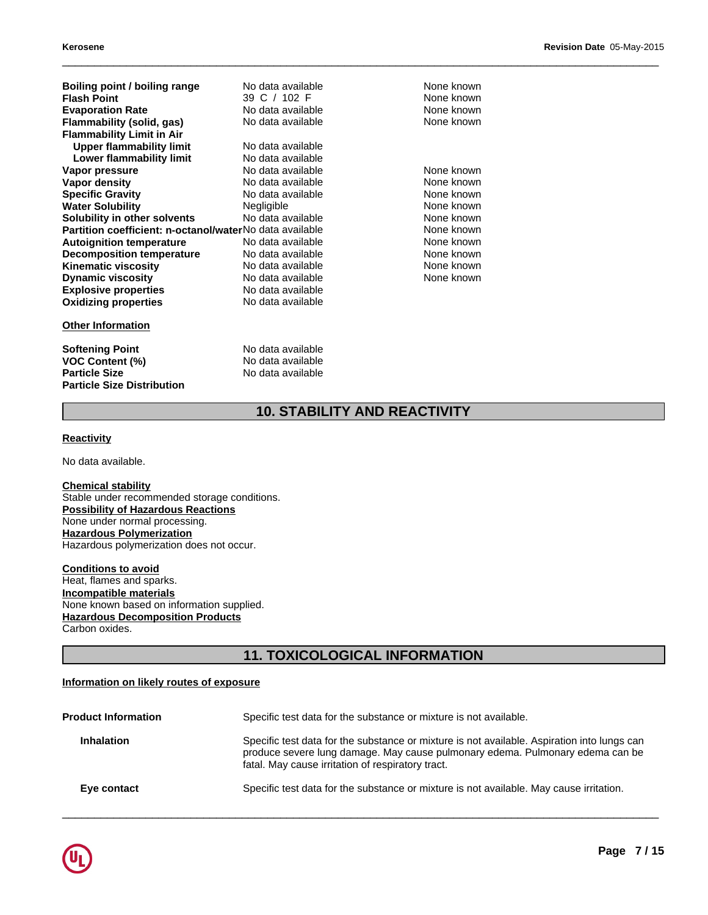| Boiling point / boiling range                           | No data available | None known                          |
|---------------------------------------------------------|-------------------|-------------------------------------|
| <b>Flash Point</b>                                      | 39 C / 102 F      | None known                          |
| <b>Evaporation Rate</b>                                 | No data available | None known                          |
| Flammability (solid, gas)                               | No data available | None known                          |
| <b>Flammability Limit in Air</b>                        |                   |                                     |
| <b>Upper flammability limit</b>                         | No data available |                                     |
| Lower flammability limit                                | No data available |                                     |
| Vapor pressure                                          | No data available | None known                          |
| <b>Vapor density</b>                                    | No data available | None known                          |
| <b>Specific Gravity</b>                                 | No data available | None known                          |
| <b>Water Solubility</b>                                 | Negligible        | None known                          |
| Solubility in other solvents                            | No data available | None known                          |
| Partition coefficient: n-octanol/waterNo data available |                   | None known                          |
| <b>Autoignition temperature</b>                         | No data available | None known                          |
| <b>Decomposition temperature</b>                        | No data available | None known                          |
| <b>Kinematic viscosity</b>                              | No data available | None known                          |
| <b>Dynamic viscosity</b>                                | No data available | None known                          |
| <b>Explosive properties</b>                             | No data available |                                     |
| <b>Oxidizing properties</b>                             | No data available |                                     |
| <b>Other Information</b>                                |                   |                                     |
| <b>Softening Point</b>                                  | No data available |                                     |
| <b>VOC Content (%)</b>                                  | No data available |                                     |
| <b>Particle Size</b>                                    | No data available |                                     |
| <b>Particle Size Distribution</b>                       |                   |                                     |
|                                                         |                   | <b>10. STABILITY AND REACTIVITY</b> |
| <b>Reactivity</b>                                       |                   |                                     |
| No data available.                                      |                   |                                     |

# **Other Information**

 $\_$  ,  $\_$  ,  $\_$  ,  $\_$  ,  $\_$  ,  $\_$  ,  $\_$  ,  $\_$  ,  $\_$  ,  $\_$  ,  $\_$  ,  $\_$  ,  $\_$  ,  $\_$  ,  $\_$  ,  $\_$  ,  $\_$  ,  $\_$  ,  $\_$  ,  $\_$  ,  $\_$  ,  $\_$  ,  $\_$  ,  $\_$  ,  $\_$  ,  $\_$  ,  $\_$  ,  $\_$  ,  $\_$  ,  $\_$  ,  $\_$  ,  $\_$  ,  $\_$  ,  $\_$  ,  $\_$  ,  $\_$  ,  $\_$  ,

# **Reactivity**

**Chemical stability** Stable under recommended storage conditions. **Possibility of Hazardous Reactions** None under normal processing. **Hazardous Polymerization** Hazardous polymerization does not occur.

**Conditions to avoid** Heat, flames and sparks. **Incompatible materials** None known based on information supplied. **Hazardous Decomposition Products** Carbon oxides.

# nditions.<br>Jied.<br>11. TOXICOLOGICAL INFORMATION<br><sub>ure</sub>

# **Information on likely routes of exposure**

| <b>Product Information</b> | Specific test data for the substance or mixture is not available.                                                                                                                                                                 |
|----------------------------|-----------------------------------------------------------------------------------------------------------------------------------------------------------------------------------------------------------------------------------|
| <b>Inhalation</b>          | Specific test data for the substance or mixture is not available. Aspiration into lungs can<br>produce severe lung damage. May cause pulmonary edema. Pulmonary edema can be<br>fatal. May cause irritation of respiratory tract. |
| Eye contact                | Specific test data for the substance or mixture is not available. May cause irritation.                                                                                                                                           |

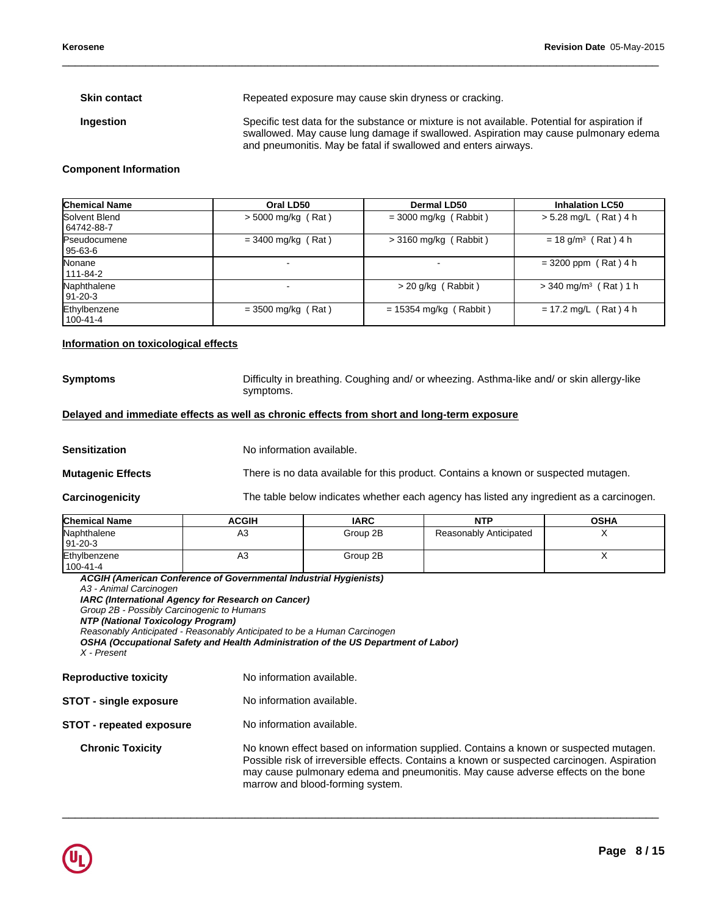**Skin contact** Repeated exposure may cause skin dryness or cracking.

**Ingestion** Specific test data for the substance or mixture is not available. Potential for aspiration if swallowed. May cause lung damage if swallowed. Aspiration may cause pulmonary edema and pneumonitis. May be fatal if swallowed and enters airways.

 $\_$  ,  $\_$  ,  $\_$  ,  $\_$  ,  $\_$  ,  $\_$  ,  $\_$  ,  $\_$  ,  $\_$  ,  $\_$  ,  $\_$  ,  $\_$  ,  $\_$  ,  $\_$  ,  $\_$  ,  $\_$  ,  $\_$  ,  $\_$  ,  $\_$  ,  $\_$  ,  $\_$  ,  $\_$  ,  $\_$  ,  $\_$  ,  $\_$  ,  $\_$  ,  $\_$  ,  $\_$  ,  $\_$  ,  $\_$  ,  $\_$  ,  $\_$  ,  $\_$  ,  $\_$  ,  $\_$  ,  $\_$  ,  $\_$  ,

# **Component Information**

| <b>Chemical Name</b>           | Oral LD50                | <b>Dermal LD50</b>       | <b>Inhalation LC50</b>              |
|--------------------------------|--------------------------|--------------------------|-------------------------------------|
| Solvent Blend<br>  64742-88-7  | $>$ 5000 mg/kg (Rat)     | $=$ 3000 mg/kg (Rabbit)  | $> 5.28$ mg/L (Rat) 4 h             |
| <b>Pseudocumene</b><br>95-63-6 | $= 3400$ mg/kg (Rat)     | $>$ 3160 mg/kg (Rabbit)  | $= 18$ g/m <sup>3</sup> (Rat) 4 h   |
| Nonane<br>111-84-2             | $\overline{\phantom{0}}$ |                          | $= 3200$ ppm (Rat) 4 h              |
| Naphthalene<br>l 91-20-3       |                          | $>$ 20 g/kg (Rabbit)     | $>$ 340 mg/m <sup>3</sup> (Rat) 1 h |
| Ethylbenzene<br>l 100-41-4     | $=$ 3500 mg/kg (Rat)     | $= 15354$ mg/kg (Rabbit) | $= 17.2$ mg/L (Rat) 4 h             |

# **Information on toxicological effects**

**Symptoms** Difficulty in breathing. Coughing and/ or wheezing. Asthma-like and/ or skin allergy-like symptoms.

# **Delayed and immediate effects as well as chronic effects from short and long-term exposure**

**Sensitization** No information available.

**Mutagenic Effects** There is no data available for this product. Contains a known or suspected mutagen.

 $\_$  ,  $\_$  ,  $\_$  ,  $\_$  ,  $\_$  ,  $\_$  ,  $\_$  ,  $\_$  ,  $\_$  ,  $\_$  ,  $\_$  ,  $\_$  ,  $\_$  ,  $\_$  ,  $\_$  ,  $\_$  ,  $\_$  ,  $\_$  ,  $\_$  ,  $\_$  ,  $\_$  ,  $\_$  ,  $\_$  ,  $\_$  ,  $\_$  ,  $\_$  ,  $\_$  ,  $\_$  ,  $\_$  ,  $\_$  ,  $\_$  ,  $\_$  ,  $\_$  ,  $\_$  ,  $\_$  ,  $\_$  ,  $\_$  ,

| Carcinogenicity |  |
|-----------------|--|
|                 |  |

The table below indicates whether each agency has listed any ingredient as a carcinogen.

| <b>Chemical Name</b>           | <b>ACGIH</b> | <b>IARC</b> | <b>NTP</b>             | <b>OSHA</b> |
|--------------------------------|--------------|-------------|------------------------|-------------|
| Naphthalene<br>$ 91-20-3$      | A3           | Group 2B    | Reasonably Anticipated |             |
| Ethylbenzene<br>$100 - 41 - 4$ | A3           | Group 2B    |                        |             |

*ACGIH (American Conference of Governmental Industrial Hygienists)*

*A3 - Animal Carcinogen*

*IARC (International Agency for Research on Cancer)*

*Group 2B - Possibly Carcinogenic to Humans*

*NTP (National Toxicology Program)*

*Reasonably Anticipated - Reasonably Anticipated to be a Human Carcinogen*

*OSHA (Occupational Safety and Health Administration of the US Department of Labor)*

*X - Present*

| <b>Reproductive toxicity</b>    | No information available.                                                                                                                                                                                                                                                                                    |
|---------------------------------|--------------------------------------------------------------------------------------------------------------------------------------------------------------------------------------------------------------------------------------------------------------------------------------------------------------|
| <b>STOT - single exposure</b>   | No information available.                                                                                                                                                                                                                                                                                    |
| <b>STOT - repeated exposure</b> | No information available.                                                                                                                                                                                                                                                                                    |
| <b>Chronic Toxicity</b>         | No known effect based on information supplied. Contains a known or suspected mutagen.<br>Possible risk of irreversible effects. Contains a known or suspected carcinogen. Aspiration<br>may cause pulmonary edema and pneumonitis. May cause adverse effects on the bone<br>marrow and blood-forming system. |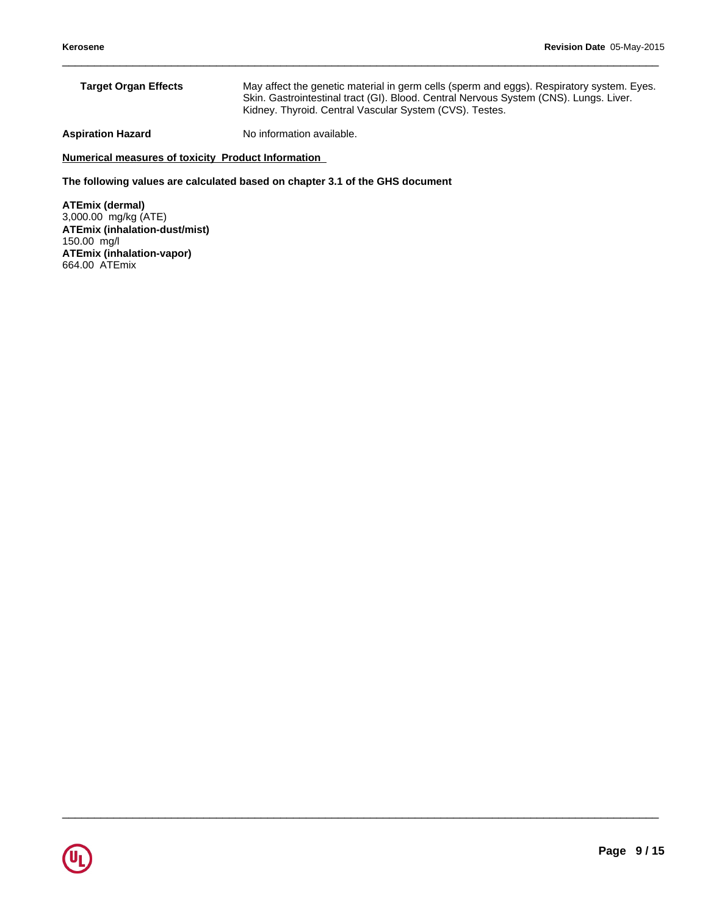| <b>Target Organ Effects</b> | May affect the genetic material in germ cells (sperm and eggs). Respiratory system. Eyes.<br>Skin. Gastrointestinal tract (GI). Blood. Central Nervous System (CNS). Lungs. Liver.<br>Kidney. Thyroid. Central Vascular System (CVS). Testes. |
|-----------------------------|-----------------------------------------------------------------------------------------------------------------------------------------------------------------------------------------------------------------------------------------------|
| Aspiration Hazard           | No information available.                                                                                                                                                                                                                     |

 $\_$  ,  $\_$  ,  $\_$  ,  $\_$  ,  $\_$  ,  $\_$  ,  $\_$  ,  $\_$  ,  $\_$  ,  $\_$  ,  $\_$  ,  $\_$  ,  $\_$  ,  $\_$  ,  $\_$  ,  $\_$  ,  $\_$  ,  $\_$  ,  $\_$  ,  $\_$  ,  $\_$  ,  $\_$  ,  $\_$  ,  $\_$  ,  $\_$  ,  $\_$  ,  $\_$  ,  $\_$  ,  $\_$  ,  $\_$  ,  $\_$  ,  $\_$  ,  $\_$  ,  $\_$  ,  $\_$  ,  $\_$  ,  $\_$  ,

# **Numerical measures of toxicity Product Information**

**The following values are calculated based on chapter 3.1 of the GHS document**

**ATEmix (dermal)** 3,000.00 mg/kg (ATE) **ATEmix (inhalation-dust/mist)** 150.00 mg/l **ATEmix (inhalation-vapor)** 664.00 ATEmix

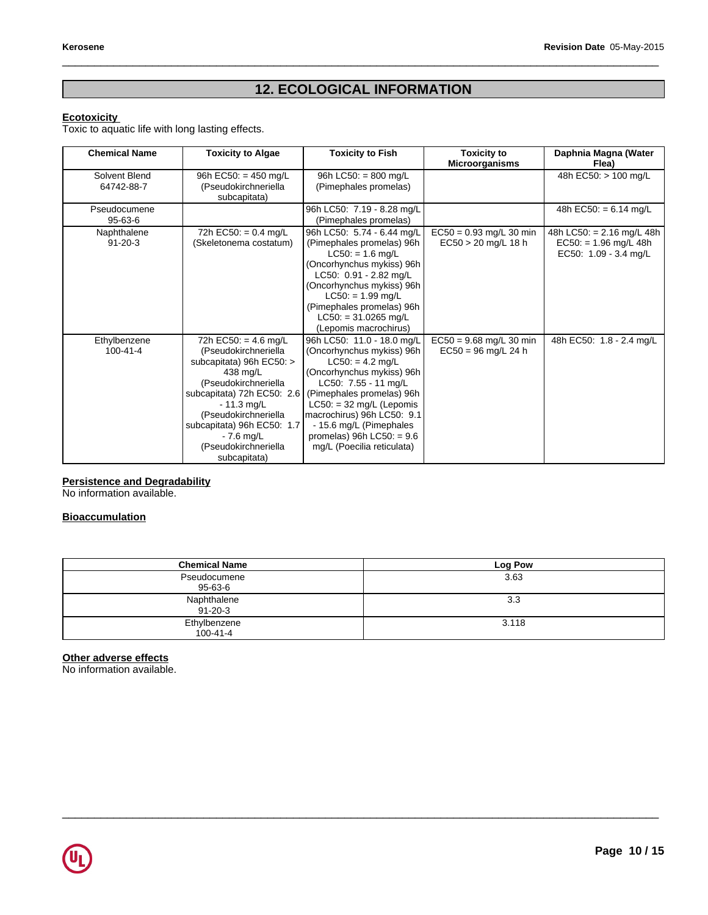# Revision Date 05-May-2018<br>**12. ECOLOGICAL INFORMATION**

 $\_$  ,  $\_$  ,  $\_$  ,  $\_$  ,  $\_$  ,  $\_$  ,  $\_$  ,  $\_$  ,  $\_$  ,  $\_$  ,  $\_$  ,  $\_$  ,  $\_$  ,  $\_$  ,  $\_$  ,  $\_$  ,  $\_$  ,  $\_$  ,  $\_$  ,  $\_$  ,  $\_$  ,  $\_$  ,  $\_$  ,  $\_$  ,  $\_$  ,  $\_$  ,  $\_$  ,  $\_$  ,  $\_$  ,  $\_$  ,  $\_$  ,  $\_$  ,  $\_$  ,  $\_$  ,  $\_$  ,  $\_$  ,  $\_$  ,

# **Ecotoxicity**

Toxic to aquatic life with long lasting effects.

| <b>Chemical Name</b> | <b>Toxicity to Algae</b>          | <b>Toxicity to Fish</b>       | <b>Toxicity to</b><br><b>Microorganisms</b> | Daphnia Magna (Water<br>Flea) |
|----------------------|-----------------------------------|-------------------------------|---------------------------------------------|-------------------------------|
| Solvent Blend        | 96h EC50: = 450 mg/L              | 96h LC50: = $800$ mg/L        |                                             | 48h EC50: > 100 mg/L          |
| 64742-88-7           | (Pseudokirchneriella              | (Pimephales promelas)         |                                             |                               |
|                      | subcapitata)                      |                               |                                             |                               |
| Pseudocumene         |                                   | 96h LC50: 7.19 - 8.28 mg/L    |                                             | 48h EC50: = $6.14$ mg/L       |
| $95 - 63 - 6$        |                                   | (Pimephales promelas)         |                                             |                               |
| Naphthalene          | 72h EC50: = $0.4$ mg/L            | 96h LC50: 5.74 - 6.44 mg/L    | $EC50 = 0.93$ mg/L 30 min                   | 48h LC50: $= 2.16$ mg/L 48h   |
| $91 - 20 - 3$        | (Skeletonema costatum)            | (Pimephales promelas) 96h     | $EC50 > 20$ mg/L 18 h                       | $EC50: = 1.96$ mg/L 48h       |
|                      |                                   | $LC50: = 1.6$ mg/L            |                                             | EC50: 1.09 - 3.4 mg/L         |
|                      |                                   | (Oncorhynchus mykiss) 96h     |                                             |                               |
|                      |                                   | LC50: 0.91 - 2.82 mg/L        |                                             |                               |
|                      |                                   | (Oncorhynchus mykiss) 96h     |                                             |                               |
|                      |                                   | $LC50: = 1.99$ mg/L           |                                             |                               |
|                      |                                   | (Pimephales promelas) 96h     |                                             |                               |
|                      |                                   | $LC50: = 31.0265$ mg/L        |                                             |                               |
|                      |                                   | (Lepomis macrochirus)         |                                             |                               |
| Ethylbenzene         | $\overline{72h}$ EC50: = 4.6 mg/L | 96h LC50: 11.0 - 18.0 mg/L    | $EC50 = 9.68$ mg/L 30 min                   | 48h EC50: 1.8 - 2.4 mg/L      |
| 100-41-4             | (Pseudokirchneriella              | (Oncorhynchus mykiss) 96h     | $EC50 = 96$ mg/L 24 h                       |                               |
|                      | subcapitata) 96h EC50: >          | $LC50: = 4.2$ mg/L            |                                             |                               |
|                      | 438 mg/L                          | (Oncorhynchus mykiss) 96h     |                                             |                               |
|                      | (Pseudokirchneriella              | LC50: 7.55 - 11 mg/L          |                                             |                               |
|                      | subcapitata) 72h EC50: $2.6$      | (Pimephales promelas) 96h     |                                             |                               |
|                      | $-11.3$ mg/L                      | $LC50: = 32$ mg/L (Lepomis    |                                             |                               |
|                      | (Pseudokirchneriella              | macrochirus) 96h LC50: 9.1    |                                             |                               |
|                      | subcapitata) 96h EC50: 1.7        | - 15.6 mg/L (Pimephales       |                                             |                               |
|                      | $-7.6$ mg/L                       | promelas) $96h$ LC50: = $9.6$ |                                             |                               |
|                      | (Pseudokirchneriella              | mg/L (Poecilia reticulata)    |                                             |                               |
|                      | subcapitata)                      |                               |                                             |                               |

# **Persistence and Degradability**

No information available.

# **Bioaccumulation**

| <b>Chemical Name</b>         | Log Pow |
|------------------------------|---------|
| Pseudocumene<br>95-63-6      | 3.63    |
| Naphthalene<br>$91 - 20 - 3$ | 3.3     |
| Ethylbenzene<br>100-41-4     | 3.118   |

 $\_$  ,  $\_$  ,  $\_$  ,  $\_$  ,  $\_$  ,  $\_$  ,  $\_$  ,  $\_$  ,  $\_$  ,  $\_$  ,  $\_$  ,  $\_$  ,  $\_$  ,  $\_$  ,  $\_$  ,  $\_$  ,  $\_$  ,  $\_$  ,  $\_$  ,  $\_$  ,  $\_$  ,  $\_$  ,  $\_$  ,  $\_$  ,  $\_$  ,  $\_$  ,  $\_$  ,  $\_$  ,  $\_$  ,  $\_$  ,  $\_$  ,  $\_$  ,  $\_$  ,  $\_$  ,  $\_$  ,  $\_$  ,  $\_$  ,

# **Other adverse effects**

No information available.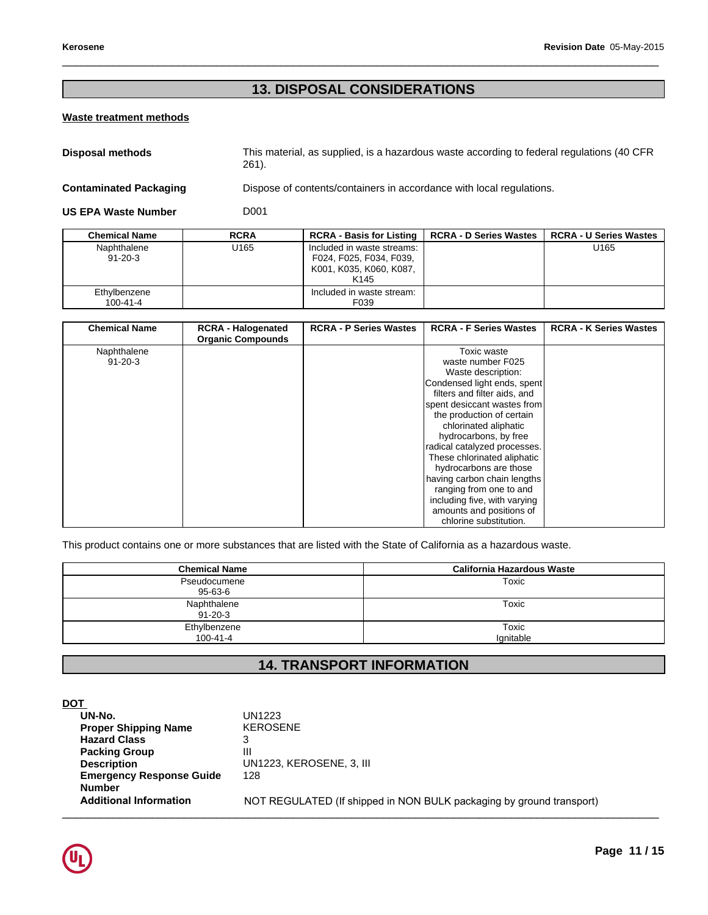# Revision Date 05-May-20<br> **13. DISPOSAL CONSIDERATIONS**

 $\_$  ,  $\_$  ,  $\_$  ,  $\_$  ,  $\_$  ,  $\_$  ,  $\_$  ,  $\_$  ,  $\_$  ,  $\_$  ,  $\_$  ,  $\_$  ,  $\_$  ,  $\_$  ,  $\_$  ,  $\_$  ,  $\_$  ,  $\_$  ,  $\_$  ,  $\_$  ,  $\_$  ,  $\_$  ,  $\_$  ,  $\_$  ,  $\_$  ,  $\_$  ,  $\_$  ,  $\_$  ,  $\_$  ,  $\_$  ,  $\_$  ,  $\_$  ,  $\_$  ,  $\_$  ,  $\_$  ,  $\_$  ,  $\_$  ,

# **Waste treatment methods**

| <b>Disposal methods</b>       | This material, as supplied, is a hazardous waste according to federal regulations (40 CFR)<br>261). |
|-------------------------------|-----------------------------------------------------------------------------------------------------|
| <b>Contaminated Packaging</b> | Dispose of contents/containers in accordance with local regulations.                                |

|                               |                                                       | IJ. DIJEVJAL UVNJIDEKA HUNJ                                                                          |                                  |                               |
|-------------------------------|-------------------------------------------------------|------------------------------------------------------------------------------------------------------|----------------------------------|-------------------------------|
| Waste treatment methods       |                                                       |                                                                                                      |                                  |                               |
| <b>Disposal methods</b>       | 261).                                                 | This material, as supplied, is a hazardous waste according to federal regulations (40 CFR            |                                  |                               |
| <b>Contaminated Packaging</b> |                                                       | Dispose of contents/containers in accordance with local regulations.                                 |                                  |                               |
| <b>US EPA Waste Number</b>    | D <sub>001</sub>                                      |                                                                                                      |                                  |                               |
| <b>Chemical Name</b>          | <b>RCRA</b>                                           | <b>RCRA - Basis for Listing</b>                                                                      | <b>RCRA - D Series Wastes</b>    | <b>RCRA - U Series Wastes</b> |
| Naphthalene<br>$91 - 20 - 3$  | U <sub>165</sub>                                      | Included in waste streams:<br>F024, F025, F034, F039,<br>K001, K035, K060, K087,<br>K <sub>145</sub> |                                  | U165                          |
| Ethylbenzene<br>100-41-4      |                                                       | Included in waste stream:<br>F039                                                                    |                                  |                               |
|                               |                                                       |                                                                                                      |                                  |                               |
| <b>Chemical Name</b>          | <b>RCRA - Halogenated</b><br><b>Organic Compounds</b> | <b>RCRA - P Series Wastes</b>                                                                        | <b>RCRA - F Series Wastes</b>    | <b>RCRA - K Series Wastes</b> |
| Naphthalene<br>$91 - 20 - 3$  |                                                       |                                                                                                      | Toxic waste<br>waste number F025 |                               |

| <b>Chemical Name</b> | <b>RCRA - Halogenated</b><br><b>Organic Compounds</b> | <b>RCRA - P Series Wastes</b> | <b>RCRA - F Series Wastes</b> | <b>RCRA - K Series Wastes</b> |
|----------------------|-------------------------------------------------------|-------------------------------|-------------------------------|-------------------------------|
| Naphthalene          |                                                       |                               | Toxic waste                   |                               |
| $91 - 20 - 3$        |                                                       |                               | waste number F025             |                               |
|                      |                                                       |                               | Waste description:            |                               |
|                      |                                                       |                               | Condensed light ends, spent   |                               |
|                      |                                                       |                               | filters and filter aids, and  |                               |
|                      |                                                       |                               | spent desiccant wastes from   |                               |
|                      |                                                       |                               | the production of certain     |                               |
|                      |                                                       |                               | chlorinated aliphatic         |                               |
|                      |                                                       |                               | hydrocarbons, by free         |                               |
|                      |                                                       |                               | radical catalyzed processes.  |                               |
|                      |                                                       |                               | These chlorinated aliphatic   |                               |
|                      |                                                       |                               | hydrocarbons are those        |                               |
|                      |                                                       |                               | having carbon chain lengths   |                               |
|                      |                                                       |                               | ranging from one to and       |                               |
|                      |                                                       |                               | including five, with varying  |                               |
|                      |                                                       |                               | amounts and positions of      |                               |
|                      |                                                       |                               | chlorine substitution.        |                               |

| <b>California Hazardous Waste</b><br>Toxic                                         |                                                                                                                                                                                                     |
|------------------------------------------------------------------------------------|-----------------------------------------------------------------------------------------------------------------------------------------------------------------------------------------------------|
|                                                                                    |                                                                                                                                                                                                     |
|                                                                                    |                                                                                                                                                                                                     |
| including five, with varying<br>amounts and positions of<br>chlorine substitution. |                                                                                                                                                                                                     |
|                                                                                    | hydrocarbons are those<br>having carbon chain lengths<br>ranging from one to and<br>This product contains one or more substances that are listed with the State of California as a hazardous waste. |

| DOT                             |                                                                      |
|---------------------------------|----------------------------------------------------------------------|
| UN-No.                          | UN1223                                                               |
| <b>Proper Shipping Name</b>     | <b>KEROSENE</b>                                                      |
| <b>Hazard Class</b>             | 3                                                                    |
| <b>Packing Group</b>            | Ш                                                                    |
| <b>Description</b>              | UN1223, KEROSENE, 3, III                                             |
| <b>Emergency Response Guide</b> | 128                                                                  |
| <b>Number</b>                   |                                                                      |
| <b>Additional Information</b>   | NOT REGULATED (If shipped in NON BULK packaging by ground transport) |
|                                 |                                                                      |

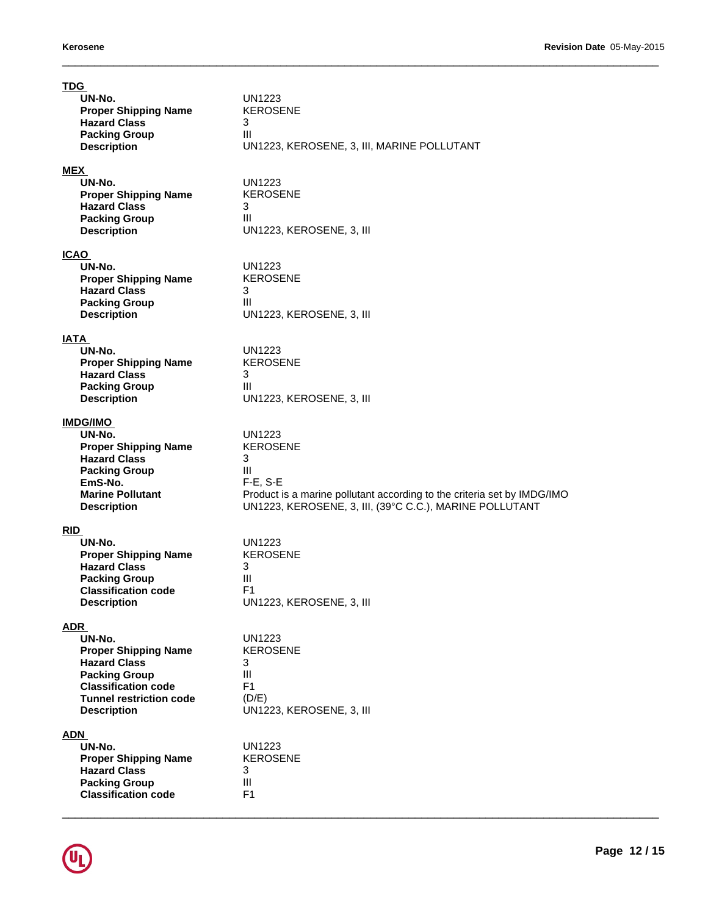| <b>TDG</b><br>UN-No.<br><b>Proper Shipping Name</b><br><b>Hazard Class</b><br><b>Packing Group</b><br><b>Description</b>                                                                 | <b>UN1223</b><br><b>KEROSENE</b><br>3<br>Ш<br>UN1223, KEROSENE, 3, III, MARINE POLLUTANT                                                                                                          |
|------------------------------------------------------------------------------------------------------------------------------------------------------------------------------------------|---------------------------------------------------------------------------------------------------------------------------------------------------------------------------------------------------|
| <b>MEX</b><br>UN-No.<br><b>Proper Shipping Name</b><br><b>Hazard Class</b><br><b>Packing Group</b><br><b>Description</b>                                                                 | <b>UN1223</b><br><b>KEROSENE</b><br>3<br>Ш<br>UN1223, KEROSENE, 3, III                                                                                                                            |
| <b>ICAO</b><br>UN-No.<br><b>Proper Shipping Name</b><br><b>Hazard Class</b><br><b>Packing Group</b><br><b>Description</b>                                                                | <b>UN1223</b><br><b>KEROSENE</b><br>3<br>Ш<br>UN1223, KEROSENE, 3, III                                                                                                                            |
| <b>IATA</b><br>UN-No.<br><b>Proper Shipping Name</b><br><b>Hazard Class</b><br><b>Packing Group</b><br><b>Description</b>                                                                | UN1223<br><b>KEROSENE</b><br>3<br>III<br>UN1223, KEROSENE, 3, III                                                                                                                                 |
| <b>IMDG/IMO</b><br>UN-No.<br><b>Proper Shipping Name</b><br><b>Hazard Class</b><br><b>Packing Group</b><br>EmS-No.<br><b>Marine Pollutant</b><br><b>Description</b>                      | <b>UN1223</b><br><b>KEROSENE</b><br>3<br>III<br>$F-E$ , S-E<br>Product is a marine pollutant according to the criteria set by IMDG/IMO<br>UN1223, KEROSENE, 3, III, (39°C C.C.), MARINE POLLUTANT |
| <b>RID</b><br>UN-No.<br><b>Proper Shipping Name</b><br><b>Hazard Class</b><br><b>Packing Group</b><br><b>Classification code</b><br><b>Description</b>                                   | <b>UN1223</b><br><b>KEROSENE</b><br>3<br>Ш<br>F <sub>1</sub><br>UN1223, KEROSENE, 3, III                                                                                                          |
| <b>ADR</b><br>UN-No.<br><b>Proper Shipping Name</b><br><b>Hazard Class</b><br><b>Packing Group</b><br><b>Classification code</b><br><b>Tunnel restriction code</b><br><b>Description</b> | <b>UN1223</b><br><b>KEROSENE</b><br>3<br>Ш<br>F <sub>1</sub><br>(D/E)<br>UN1223, KEROSENE, 3, III                                                                                                 |
| <b>ADN</b><br>UN-No.<br><b>Proper Shipping Name</b><br><b>Hazard Class</b><br><b>Packing Group</b><br><b>Classification code</b>                                                         | <b>UN1223</b><br><b>KEROSENE</b><br>3<br>Ш<br>F1                                                                                                                                                  |

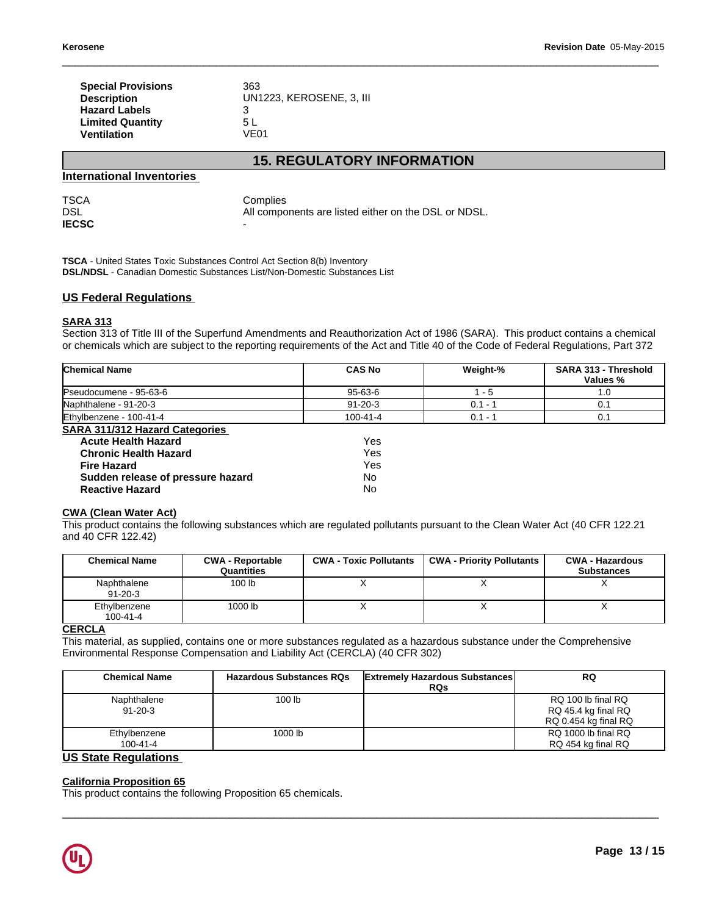| osene                                                                                                             |                                                                  | Revision Date 05-May-2015 |
|-------------------------------------------------------------------------------------------------------------------|------------------------------------------------------------------|---------------------------|
| <b>Special Provisions</b><br><b>Description</b><br><b>Hazard Labels</b><br><b>Limited Quantity</b><br>Ventilation | 363<br>UN1223, KEROSENE, 3, III<br>3<br>5 L<br><b>VE01</b>       |                           |
|                                                                                                                   | <b>15. REGULATORY INFORMATION</b>                                |                           |
| <b>Inational Inventories</b>                                                                                      |                                                                  |                           |
| ìА                                                                                                                | Complies<br>All components are listed either on the DSL or NDSL. |                           |

# **International Inventories**

| <b>TSCA</b>  | Complies                                             |
|--------------|------------------------------------------------------|
| <b>DSL</b>   | All components are listed either on the DSL or NDSL. |
| <b>IECSC</b> | $\overline{\phantom{0}}$                             |

**TSCA** - United States Toxic Substances Control Act Section 8(b) Inventory **DSL/NDSL** - Canadian Domestic Substances List/Non-Domestic Substances List

# **US Federal Regulations**

# **SARA 313**

Section 313 of Title III of the Superfund Amendments and Reauthorization Act of 1986 (SARA). This product contains a chemical or chemicals which are subject to the reporting requirements of the Act and Title 40 of the Code of Federal Regulations, Part 372

| <b>Chemical Name</b>                  | <b>CAS No</b>  | Weight-%  | <b>SARA 313 - Threshold</b><br>Values % |
|---------------------------------------|----------------|-----------|-----------------------------------------|
| Pseudocumene - 95-63-6                | 95-63-6        | - 5       | 1.0                                     |
| Naphthalene - 91-20-3                 | $91 - 20 - 3$  | $0.1 - 1$ | 0.1                                     |
| Ethylbenzene - 100-41-4               | $100 - 41 - 4$ | $0.1 - 1$ | 0.1                                     |
| <b>SARA 311/312 Hazard Categories</b> |                |           |                                         |
| <b>Acute Health Hazard</b>            | Yes            |           |                                         |
| <b>Chronic Health Hazard</b>          | Yes            |           |                                         |
| <b>Fire Hazard</b>                    | Yes            |           |                                         |
| Sudden release of pressure hazard     | No             |           |                                         |
| <b>Reactive Hazard</b>                | No             |           |                                         |

# **CWA (Clean Water Act)**

This product contains the following substances which are regulated pollutants pursuant to the Clean Water Act (40 CFR 122.21 and 40 CFR 122.42)

| <b>Chemical Name</b>           | <b>CWA - Reportable</b><br>Quantities | <b>CWA - Toxic Pollutants</b> | <b>CWA - Priority Pollutants</b> | <b>CWA - Hazardous</b><br><b>Substances</b> |
|--------------------------------|---------------------------------------|-------------------------------|----------------------------------|---------------------------------------------|
| Naphthalene<br>$91 - 20 - 3$   | 100 lb                                |                               |                                  |                                             |
| Ethylbenzene<br>$100 - 41 - 4$ | 1000 lb                               |                               | $\lambda$                        | $\lambda$                                   |
| $\cdots$                       |                                       |                               |                                  |                                             |

# **CERCLA**

This material, as supplied, contains one or more substances regulated as a hazardous substance under the Comprehensive Environmental Response Compensation and Liability Act (CERCLA) (40 CFR 302)

| <b>Chemical Name</b>           | <b>Hazardous Substances RQs</b> | <b>Extremely Hazardous Substances</b><br><b>RQs</b> | <b>RQ</b>                                                         |
|--------------------------------|---------------------------------|-----------------------------------------------------|-------------------------------------------------------------------|
| Naphthalene<br>$91 - 20 - 3$   | 100 <sub>lb</sub>               |                                                     | RQ 100 lb final RQ<br>RQ 45.4 kg final RQ<br>RQ 0.454 kg final RQ |
| Ethylbenzene<br>$100 - 41 - 4$ | 1000 lb                         |                                                     | RQ 1000 lb final RQ<br>RQ 454 kg final RQ                         |

 $\_$  ,  $\_$  ,  $\_$  ,  $\_$  ,  $\_$  ,  $\_$  ,  $\_$  ,  $\_$  ,  $\_$  ,  $\_$  ,  $\_$  ,  $\_$  ,  $\_$  ,  $\_$  ,  $\_$  ,  $\_$  ,  $\_$  ,  $\_$  ,  $\_$  ,  $\_$  ,  $\_$  ,  $\_$  ,  $\_$  ,  $\_$  ,  $\_$  ,  $\_$  ,  $\_$  ,  $\_$  ,  $\_$  ,  $\_$  ,  $\_$  ,  $\_$  ,  $\_$  ,  $\_$  ,  $\_$  ,  $\_$  ,  $\_$  ,

# **US State Regulations**

# **California Proposition 65**

This product contains the following Proposition 65 chemicals.

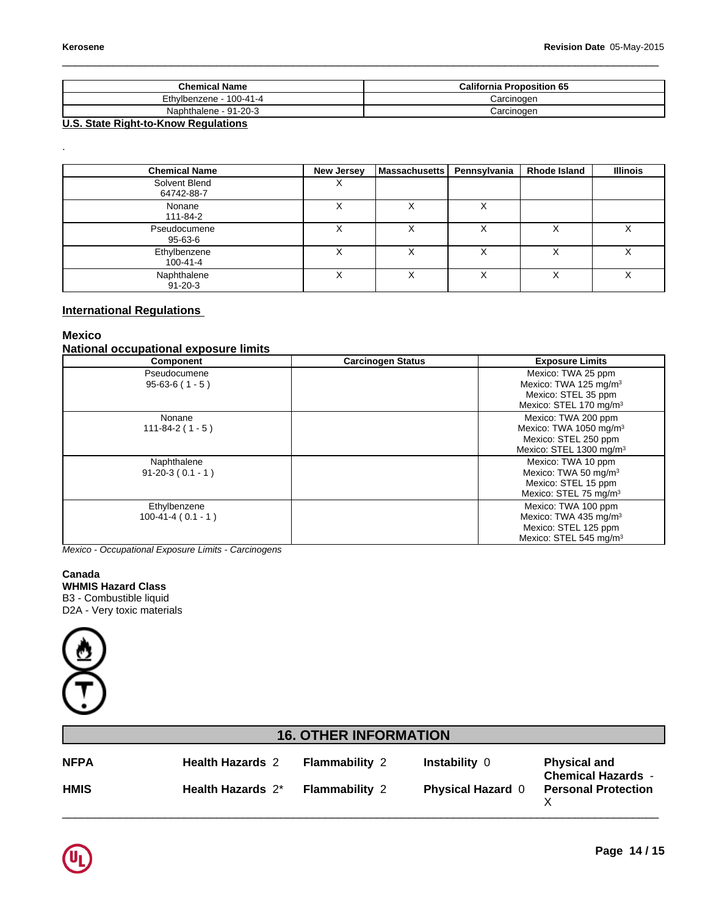.

| <b>Chemical Name</b>         | <b>California Proposition 65</b> |
|------------------------------|----------------------------------|
| Ethylbenzene - 1<br>100-41-4 | Carcinoɑen                       |
| $-91-20-3$<br>Naphthalene ·  | Carcinogen                       |

 $\_$  ,  $\_$  ,  $\_$  ,  $\_$  ,  $\_$  ,  $\_$  ,  $\_$  ,  $\_$  ,  $\_$  ,  $\_$  ,  $\_$  ,  $\_$  ,  $\_$  ,  $\_$  ,  $\_$  ,  $\_$  ,  $\_$  ,  $\_$  ,  $\_$  ,  $\_$  ,  $\_$  ,  $\_$  ,  $\_$  ,  $\_$  ,  $\_$  ,  $\_$  ,  $\_$  ,  $\_$  ,  $\_$  ,  $\_$  ,  $\_$  ,  $\_$  ,  $\_$  ,  $\_$  ,  $\_$  ,  $\_$  ,  $\_$  ,

# **U.S. State Right-to-Know Regulations**

| <b>Chemical Name</b>           | <b>New Jersey</b> | Massachusetts | Pennsylvania | <b>Rhode Island</b> | <b>Illinois</b> |
|--------------------------------|-------------------|---------------|--------------|---------------------|-----------------|
| Solvent Blend<br>64742-88-7    | $\checkmark$<br>∧ |               |              |                     |                 |
| Nonane<br>111-84-2             | ⌒                 |               | ⌒            |                     |                 |
| Pseudocumene<br>95-63-6        | ∧                 | v             |              | v                   |                 |
| Ethylbenzene<br>$100 - 41 - 4$ |                   |               |              |                     |                 |
| Naphthalene<br>$91 - 20 - 3$   | ∧                 | v             | ∧            | v                   | v<br>∧          |

# **International Regulations**

# **Mexico**

# **National occupational exposure limits**

| Component                           | <b>Carcinogen Status</b> | <b>Exposure Limits</b>                                                                                                   |
|-------------------------------------|--------------------------|--------------------------------------------------------------------------------------------------------------------------|
| Pseudocumene<br>$95-63-6(1-5)$      |                          | Mexico: TWA 25 ppm<br>Mexico: TWA 125 mg/m <sup>3</sup><br>Mexico: STEL 35 ppm<br>Mexico: STEL 170 mg/m <sup>3</sup>     |
| Nonane<br>$111 - 84 - 2(1 - 5)$     |                          | Mexico: TWA 200 ppm<br>Mexico: TWA 1050 mg/m <sup>3</sup><br>Mexico: STEL 250 ppm<br>Mexico: STEL 1300 mg/m <sup>3</sup> |
| Naphthalene<br>$91-20-3(0.1 - 1)$   |                          | Mexico: TWA 10 ppm<br>Mexico: TWA 50 mg/m <sup>3</sup><br>Mexico: STEL 15 ppm<br>Mexico: STEL 75 mg/m <sup>3</sup>       |
| Ethylbenzene<br>$100-41-4(0.1 - 1)$ |                          | Mexico: TWA 100 ppm<br>Mexico: TWA 435 mg/m <sup>3</sup><br>Mexico: STEL 125 ppm<br>Mexico: STEL 545 mg/m <sup>3</sup>   |

# **Canada WHMIS Hazard Class**



|                                                                                       | $100 - 41 - 4$ ( $0.1 - 1$ )                        |                              |                          | Mexico: I WA 435 mg/m <sup>3</sup><br>Mexico: STEL 125 ppm<br>Mexico: STEL 545 mg/m <sup>3</sup> |
|---------------------------------------------------------------------------------------|-----------------------------------------------------|------------------------------|--------------------------|--------------------------------------------------------------------------------------------------|
|                                                                                       | Mexico - Occupational Exposure Limits - Carcinogens |                              |                          |                                                                                                  |
| Canada<br>WHMIS Hazard Class<br>B3 - Combustible liquid<br>D2A - Very toxic materials |                                                     |                              |                          |                                                                                                  |
|                                                                                       |                                                     |                              |                          |                                                                                                  |
|                                                                                       |                                                     |                              |                          |                                                                                                  |
|                                                                                       |                                                     | <b>16. OTHER INFORMATION</b> |                          |                                                                                                  |
| <b>NFPA</b>                                                                           | <b>Health Hazards 2</b>                             | Flammability 2               | Instability 0            | <b>Physical and</b><br><b>Chemical Hazards -</b>                                                 |
| <b>HMIS</b>                                                                           | Health Hazards 2*                                   | Flammability 2               | <b>Physical Hazard 0</b> | <b>Personal Protection</b><br>X                                                                  |
|                                                                                       |                                                     |                              |                          |                                                                                                  |



**HMIS**